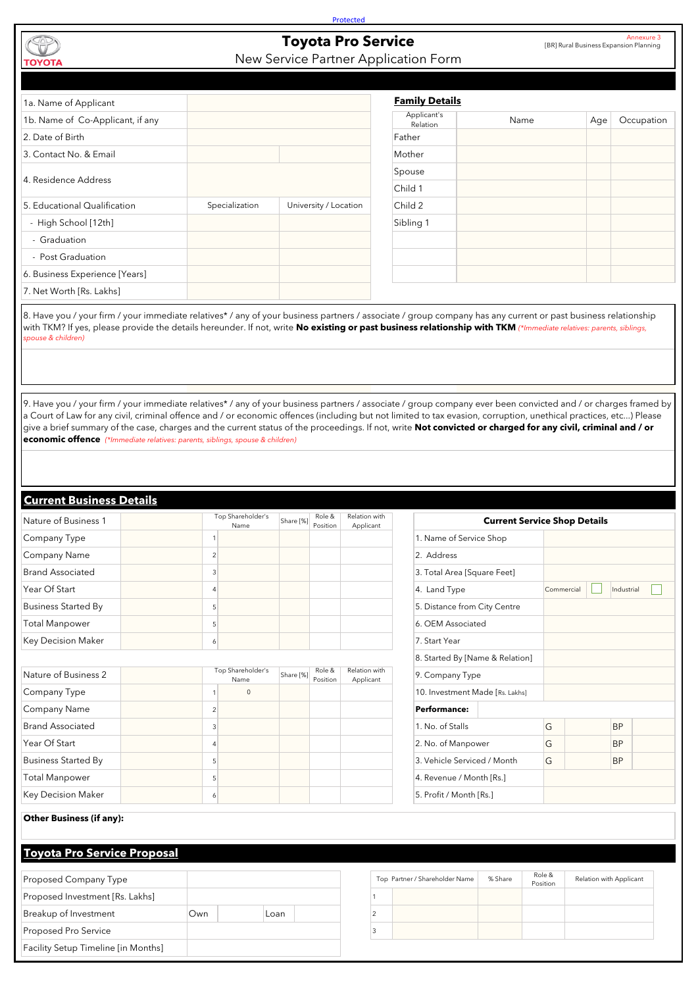| Nature of Business 2               |                | Top Shareholder's<br>Name | Share [%] | Role &<br>Position | Relation with<br>Applicant | 9. Company Type                 |         |                    |                         |           |
|------------------------------------|----------------|---------------------------|-----------|--------------------|----------------------------|---------------------------------|---------|--------------------|-------------------------|-----------|
| Company Type                       |                | $\mathbf 0$               |           |                    |                            | 10. Investment Made [Rs. Lakhs] |         |                    |                         |           |
| Company Name                       | $\overline{2}$ |                           |           |                    |                            | <b>Performance:</b>             |         |                    |                         |           |
| <b>Brand Associated</b>            | 3              |                           |           |                    |                            | 1. No. of Stalls                |         | G                  |                         | <b>BP</b> |
| Year Of Start                      | 4              |                           |           |                    |                            | 2. No. of Manpower              |         | G                  |                         | <b>BP</b> |
| <b>Business Started By</b>         | 5              |                           |           |                    |                            | 3. Vehicle Serviced / Month     |         | G                  |                         | <b>BP</b> |
| <b>Total Manpower</b>              | 5              |                           |           |                    |                            | 4. Revenue / Month [Rs.]        |         |                    |                         |           |
| <b>Key Decision Maker</b>          | 6              |                           |           |                    |                            | 5. Profit / Month [Rs.]         |         |                    |                         |           |
| <b>Other Business (if any):</b>    |                |                           |           |                    |                            |                                 |         |                    |                         |           |
| <b>Toyota Pro Service Proposal</b> |                |                           |           |                    |                            |                                 |         |                    |                         |           |
| Proposed Company Type              |                |                           |           |                    |                            | Top Partner / Shareholder Name  | % Share | Role &<br>Position | Relation with Applicant |           |
| Proposed Investment [Rs. Lakhs]    |                |                           |           |                    |                            |                                 |         |                    |                         |           |
| Breakup of Investment              | Own            |                           | Loan      |                    | $\overline{2}$             |                                 |         |                    |                         |           |
| Proposed Pro Service               |                |                           |           |                    | 3                          |                                 |         |                    |                         |           |

8. Have you / your firm / your immediate relatives\* / any of your business partners / associate / group company has any current or past business relationship with TKM? If yes, please provide the details hereunder. If not, write **No existing or past business relationship with TKM** *(\*Immediate relatives: parents, siblings, spouse & children)*

| 1a. Name of Applicant            |                |                       | <b>Family Details</b>   |      |     |
|----------------------------------|----------------|-----------------------|-------------------------|------|-----|
| 1b. Name of Co-Applicant, if any |                |                       | Applicant's<br>Relation | Name | Age |
| 2. Date of Birth                 |                |                       | Father                  |      |     |
| 3. Contact No. & Email           |                |                       | Mother                  |      |     |
| 4. Residence Address             |                |                       | Spouse                  |      |     |
|                                  |                |                       | Child 1                 |      |     |
| 5. Educational Qualification     | Specialization | University / Location | Child 2                 |      |     |
| - High School [12th]             |                |                       | Sibling 1               |      |     |
| - Graduation                     |                |                       |                         |      |     |
| - Post Graduation                |                |                       |                         |      |     |
| 6. Business Experience [Years]   |                |                       |                         |      |     |
| 7. Net Worth [Rs. Lakhs]         |                |                       |                         |      |     |
|                                  |                |                       |                         |      |     |

**Protected** 

## **Toyota Pro Service**

## New Service Partner Application Form

| <b>I OP SHALL LININGLY</b><br>Name | Share [%] | <b>INDIE OF</b><br>Position | <b>ITCIQUOII WILII</b><br>Applicant |                                 |  | <b>Current Service Shop Details</b> |  |                |  |
|------------------------------------|-----------|-----------------------------|-------------------------------------|---------------------------------|--|-------------------------------------|--|----------------|--|
|                                    |           |                             |                                     | 1. Name of Service Shop         |  |                                     |  |                |  |
| 2                                  |           |                             |                                     | 2. Address                      |  |                                     |  |                |  |
| 3                                  |           |                             |                                     | 3. Total Area [Square Feet]     |  |                                     |  |                |  |
| 4                                  |           |                             |                                     | 4. Land Type                    |  | Commercial                          |  | Industrial     |  |
| 5 <sup>1</sup>                     |           |                             |                                     | 5. Distance from City Centre    |  |                                     |  |                |  |
| 5                                  |           |                             |                                     | 6. OEM Associated               |  |                                     |  |                |  |
| 6                                  |           |                             |                                     | 7. Start Year                   |  |                                     |  |                |  |
|                                    |           |                             |                                     | 8. Started By [Name & Relation] |  |                                     |  |                |  |
| Top Shareholder's<br>Name          | Share [%] | Role &<br>Position          | Relation with<br>Applicant          | 9. Company Type                 |  |                                     |  |                |  |
| $\mathbf{0}$                       |           |                             |                                     | 10. Investment Made [Rs. Lakhs] |  |                                     |  |                |  |
| 2                                  |           |                             |                                     | <b>Performance:</b>             |  |                                     |  |                |  |
| 3                                  |           |                             |                                     | 1. No. of Stalls                |  | G                                   |  | <b>BP</b>      |  |
|                                    |           |                             |                                     | $\cap$ NI $\cap$ $\cap$ $\cap$  |  | ∽                                   |  | <sub>n</sub> n |  |

| Nature of Business 1       | Top Shareholder's | Share [%] | Role &<br>Position | Relation with | <b>Current</b>               |
|----------------------------|-------------------|-----------|--------------------|---------------|------------------------------|
| Company Type               | Name              |           |                    | Applicant     | 1. Name of Service Shop      |
| <b>Company Name</b>        | C                 |           |                    |               | 2. Address                   |
| <b>Brand Associated</b>    |                   |           |                    |               | 3. Total Area [Square Feet]  |
| Year Of Start              |                   |           |                    |               | 4. Land Type                 |
| <b>Business Started By</b> |                   |           |                    |               | 5. Distance from City Centre |
| Total Manpower             |                   |           |                    |               | 6. OEM Associated            |
| <b>Key Decision Maker</b>  | Ò                 |           |                    |               | 7. Start Year                |

9. Have you / your firm / your immediate relatives\* / any of your business partners / associate / group company ever been convicted and / or charges framed by a Court of Law for any civil, criminal offence and / or economic offences (including but not limited to tax evasion, corruption, unethical practices, etc...) Please give a brief summary of the case, charges and the current status of the proceedings. If not, write **Not convicted or charged for any civil, criminal and / or economic offence** *(\*Immediate relatives: parents, siblings, spouse & children)*

## **Current Business Details**

Annexure 3 [BR] Rural Business Expansion Planning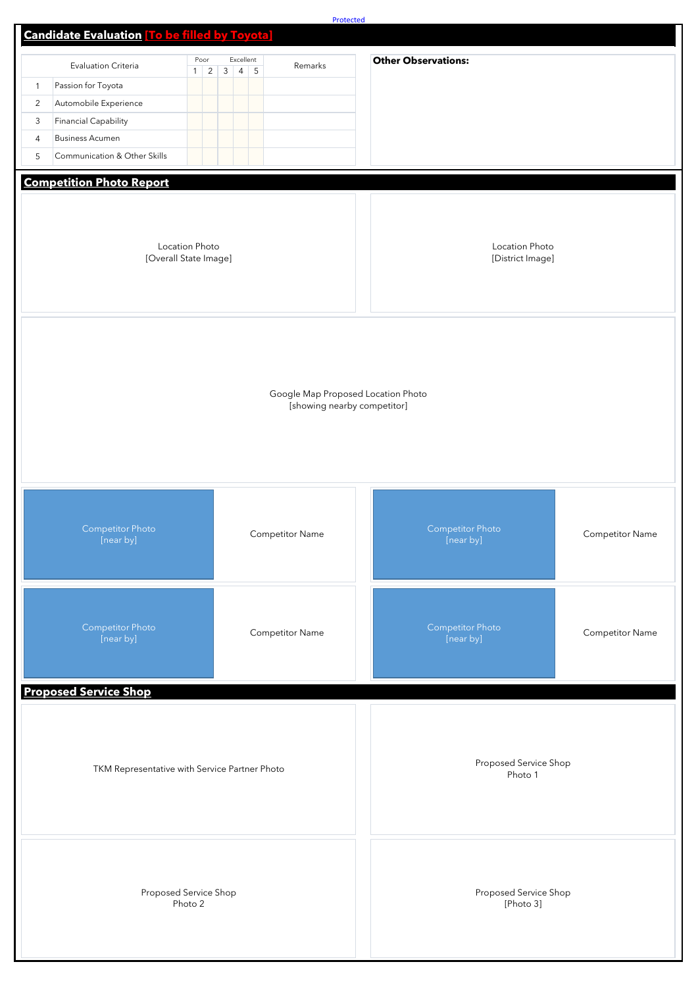